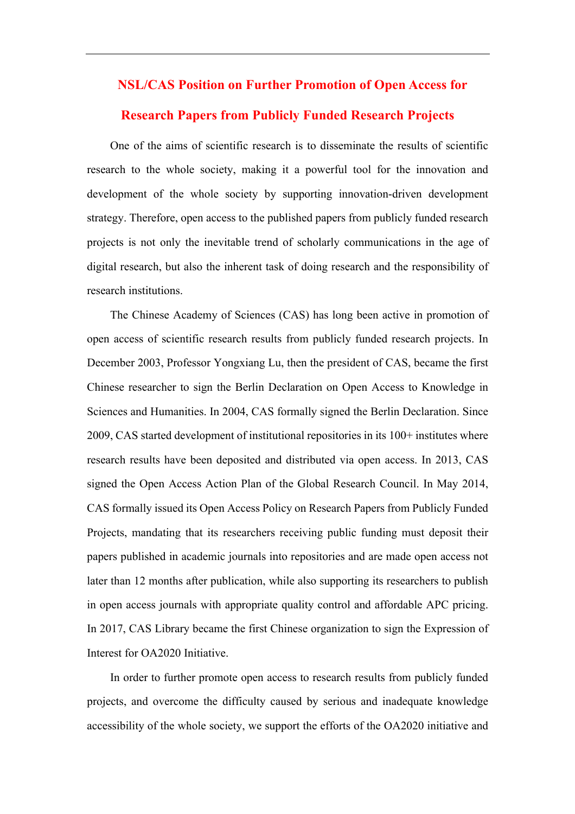## **NSL/CAS Position on Further Promotion of Open Access for**

## **Research Papers from Publicly Funded Research Projects**

One of the aims of scientific research is to disseminate the results of scientific research to the whole society, making it a powerful tool for the innovation and development of the whole society by supporting innovation-driven development strategy. Therefore, open access to the published papers from publicly funded research projects is not only the inevitable trend of scholarly communications in the age of digital research, but also the inherent task of doing research and the responsibility of research institutions.

The Chinese Academy of Sciences (CAS) has long been active in promotion of open access of scientific research results from publicly funded research projects. In December 2003, Professor Yongxiang Lu, then the president of CAS, became the first Chinese researcher to sign the Berlin Declaration on Open Access to Knowledge in Sciences and Humanities. In 2004, CAS formally signed the Berlin Declaration. Since 2009, CAS started development of institutional repositories in its 100+ institutes where research results have been deposited and distributed via open access. In 2013, CAS signed the Open Access Action Plan of the Global Research Council. In May 2014, CAS formally issued its Open Access Policy on Research Papers from Publicly Funded Projects, mandating that its researchers receiving public funding must deposit their papers published in academic journals into repositories and are made open access not later than 12 months after publication, while also supporting its researchers to publish in open access journals with appropriate quality control and affordable APC pricing. In 2017, CAS Library became the first Chinese organization to sign the Expression of Interest for OA2020 Initiative.

In order to further promote open access to research results from publicly funded projects, and overcome the difficulty caused by serious and inadequate knowledge accessibility of the whole society, we support the efforts of the OA2020 initiative and